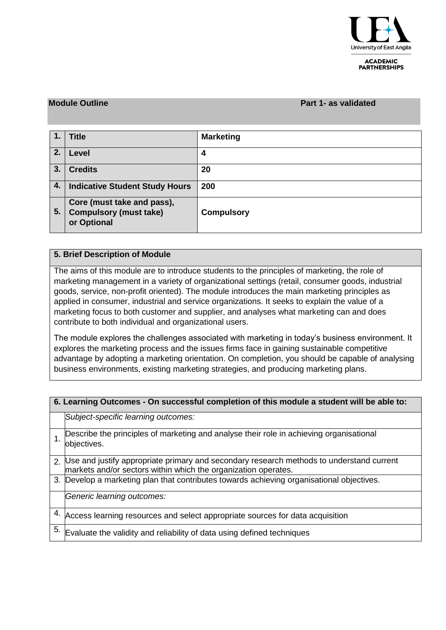

#### **ACADEMIC PARTNERSHIPS**

### **Module Outline Part 1- as validated**

| 1.  | <b>Title</b>                                                               | <b>Marketing</b>  |
|-----|----------------------------------------------------------------------------|-------------------|
| 2.  | Level                                                                      | 4                 |
| 3.  | <b>Credits</b>                                                             | 20                |
| 4.1 | <b>Indicative Student Study Hours</b>                                      | 200               |
| 5.  | Core (must take and pass),<br><b>Compulsory (must take)</b><br>or Optional | <b>Compulsory</b> |

## **5. Brief Description of Module**

The aims of this module are to introduce students to the principles of marketing, the role of marketing management in a variety of organizational settings (retail, consumer goods, industrial goods, service, non-profit oriented). The module introduces the main marketing principles as applied in consumer, industrial and service organizations. It seeks to explain the value of a marketing focus to both customer and supplier, and analyses what marketing can and does contribute to both individual and organizational users.

The module explores the challenges associated with marketing in today's business environment. It explores the marketing process and the issues firms face in gaining sustainable competitive advantage by adopting a marketing orientation. On completion, you should be capable of analysing business environments, existing marketing strategies, and producing marketing plans.

|    | 6. Learning Outcomes - On successful completion of this module a student will be able to:                                                                  |  |  |  |  |  |  |
|----|------------------------------------------------------------------------------------------------------------------------------------------------------------|--|--|--|--|--|--|
|    | Subject-specific learning outcomes:                                                                                                                        |  |  |  |  |  |  |
|    | Describe the principles of marketing and analyse their role in achieving organisational<br>objectives.                                                     |  |  |  |  |  |  |
|    | 2. Use and justify appropriate primary and secondary research methods to understand current markets and/or sectors within which the organization operates. |  |  |  |  |  |  |
|    | 3. Develop a marketing plan that contributes towards achieving organisational objectives.                                                                  |  |  |  |  |  |  |
|    | Generic learning outcomes:                                                                                                                                 |  |  |  |  |  |  |
| 4. | Access learning resources and select appropriate sources for data acquisition                                                                              |  |  |  |  |  |  |
| 5. | Evaluate the validity and reliability of data using defined techniques                                                                                     |  |  |  |  |  |  |